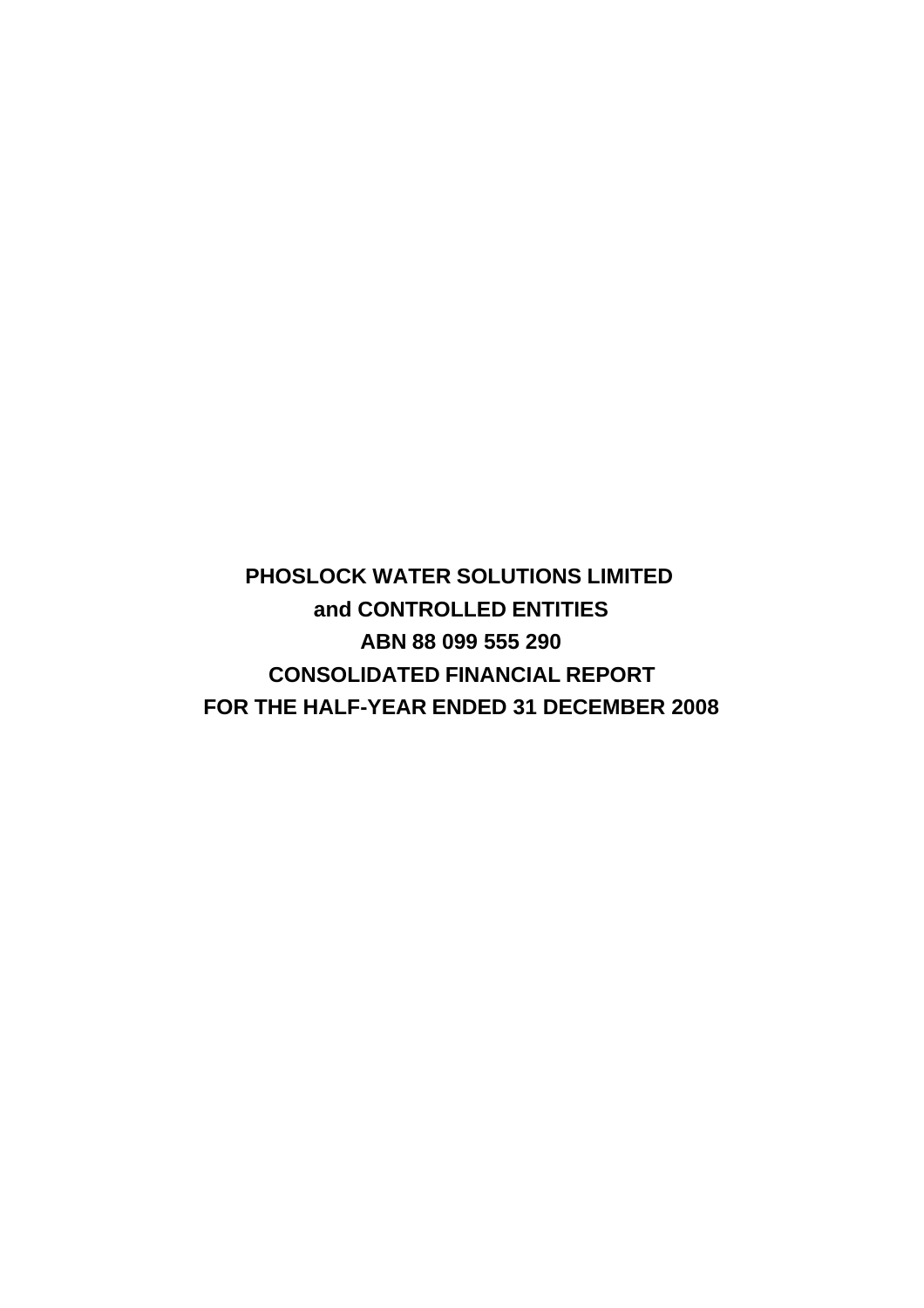**PHOSLOCK WATER SOLUTIONS LIMITED and CONTROLLED ENTITIES ABN 88 099 555 290 CONSOLIDATED FINANCIAL REPORT FOR THE HALF-YEAR ENDED 31 DECEMBER 2008**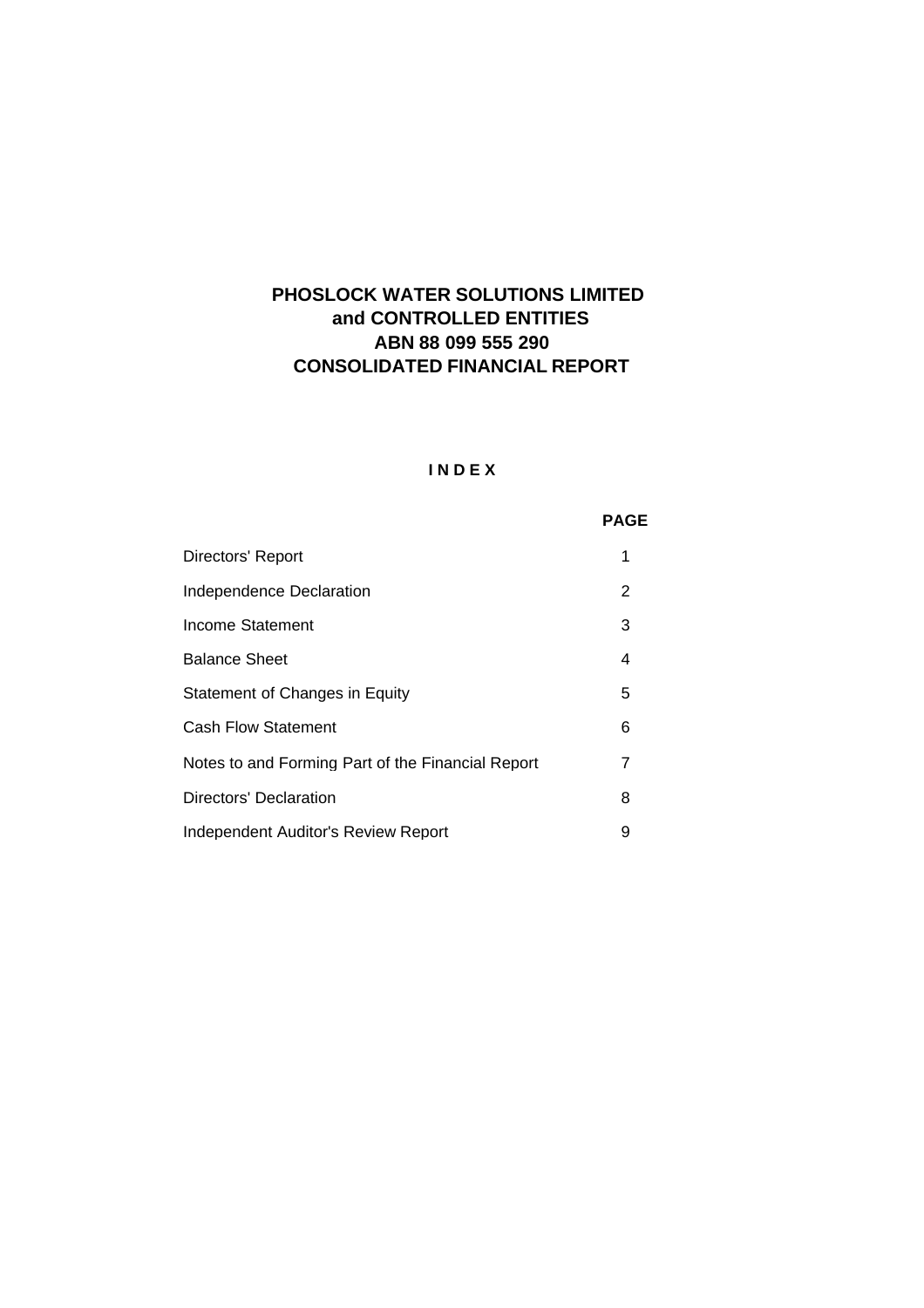# **CONSOLIDATED FINANCIAL REPORT ABN 88 099 555 290 PHOSLOCK WATER SOLUTIONS LIMITED and CONTROLLED ENTITIES**

# **I N D E X**

# **PAGE**

| Directors' Report                                 |   |
|---------------------------------------------------|---|
| Independence Declaration                          | 2 |
| Income Statement                                  | 3 |
| <b>Balance Sheet</b>                              | 4 |
| Statement of Changes in Equity                    | 5 |
| <b>Cash Flow Statement</b>                        | 6 |
| Notes to and Forming Part of the Financial Report | 7 |
| Directors' Declaration                            | 8 |
| Independent Auditor's Review Report               | 9 |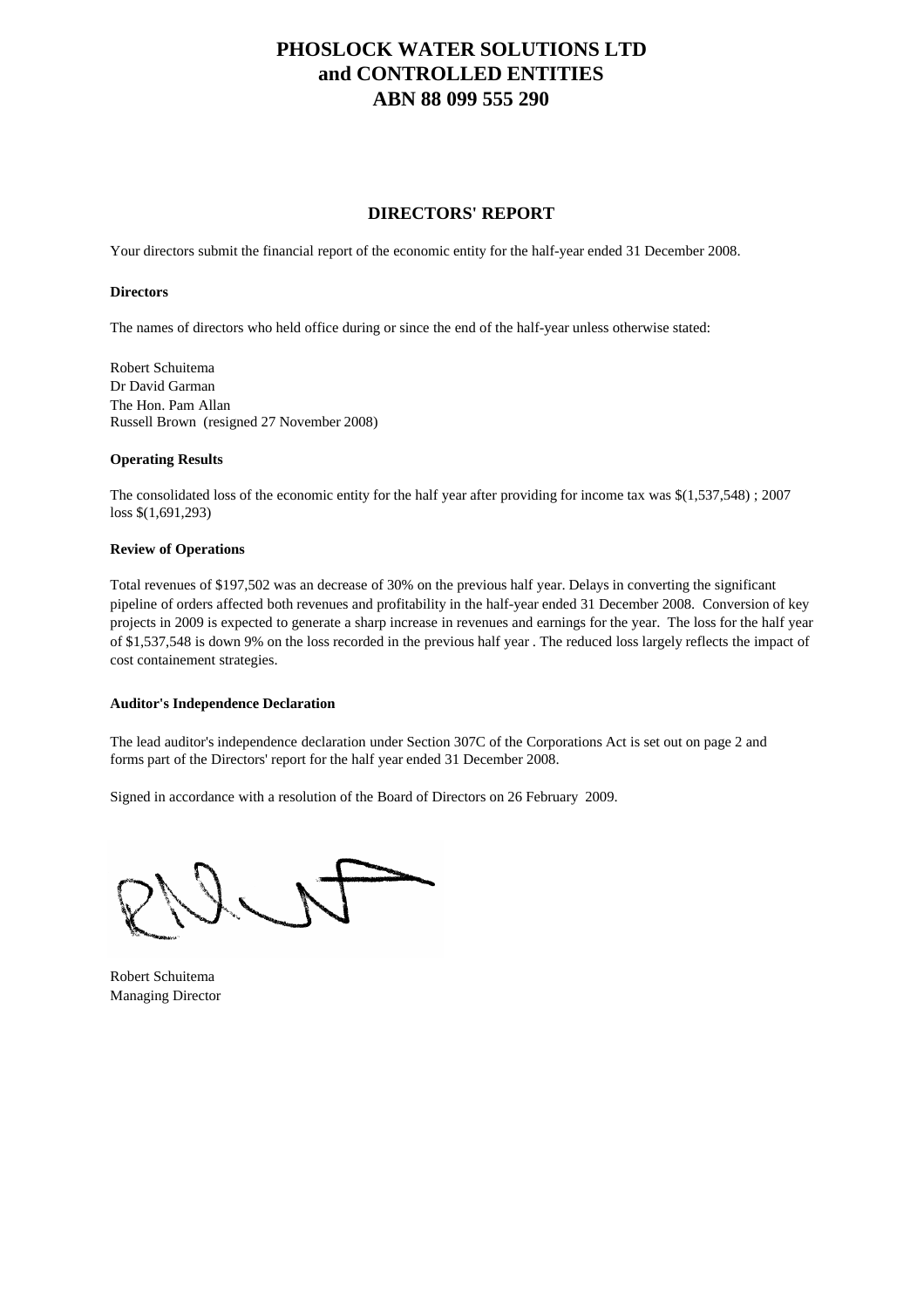# **DIRECTORS' REPORT**

Your directors submit the financial report of the economic entity for the half-year ended 31 December 2008.

#### **Directors**

The names of directors who held office during or since the end of the half-year unless otherwise stated:

Robert Schuitema Dr David Garman The Hon. Pam Allan Russell Brown (resigned 27 November 2008)

#### **Operating Results**

The consolidated loss of the economic entity for the half year after providing for income tax was \$(1,537,548) ; 2007 loss \$(1,691,293)

#### **Review of Operations**

Total revenues of \$197,502 was an decrease of 30% on the previous half year. Delays in converting the significant pipeline of orders affected both revenues and profitability in the half-year ended 31 December 2008. Conversion of key projects in 2009 is expected to generate a sharp increase in revenues and earnings for the year. The loss for the half year of \$1,537,548 is down 9% on the loss recorded in the previous half year . The reduced loss largely reflects the impact of cost containement strategies.

### **Auditor's Independence Declaration**

The lead auditor's independence declaration under Section 307C of the Corporations Act is set out on page 2 and forms part of the Directors' report for the half year ended 31 December 2008.

Signed in accordance with a resolution of the Board of Directors on 26 February 2009.

Robert Schuitema Managing Director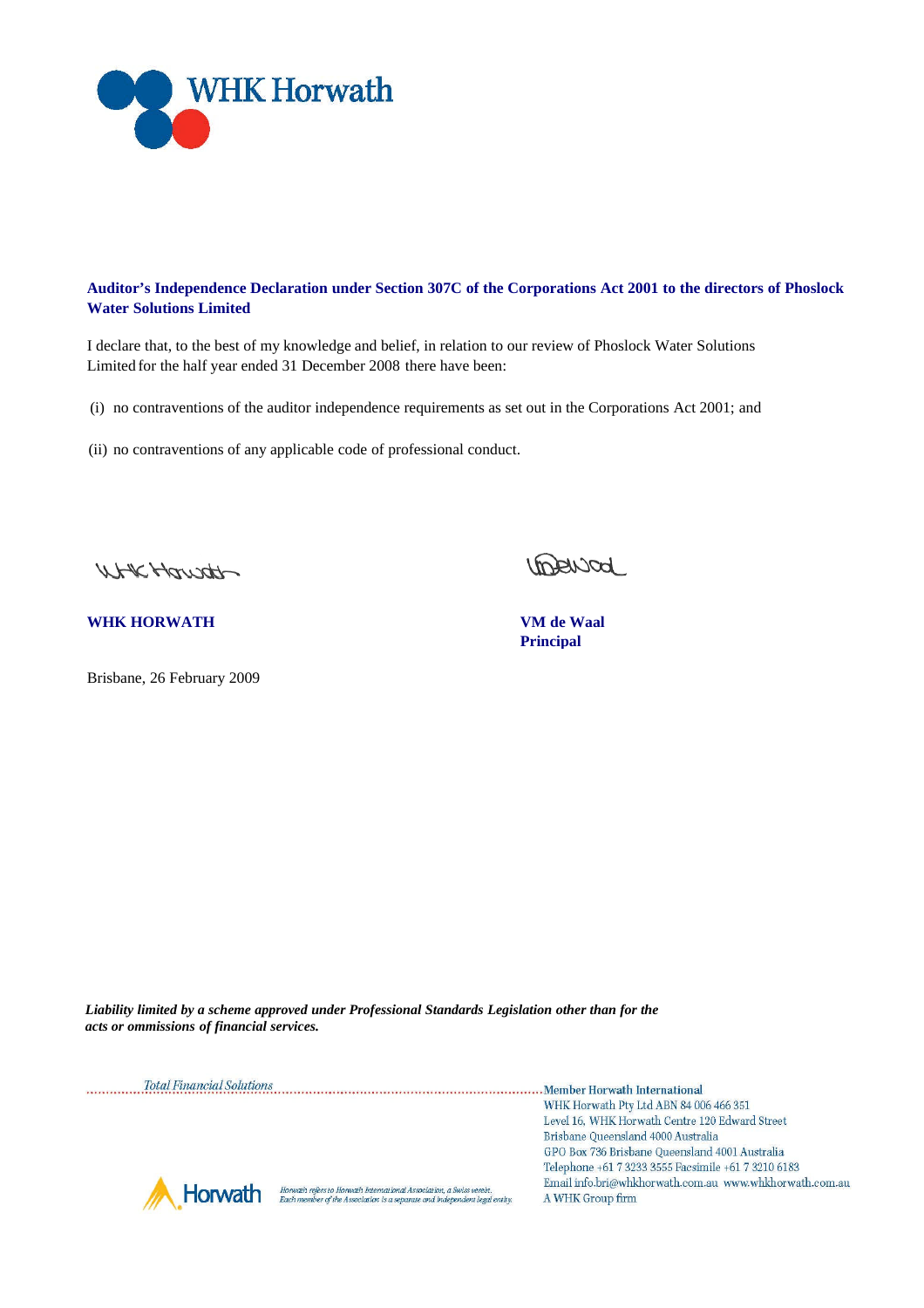

## **Auditor's Independence Declaration under Section 307C of the Corporations Act 2001 to the directors of Phoslock Water Solutions Limited**

I declare that, to the best of my knowledge and belief, in relation to our review of Phoslock Water Solutions Limited for the half year ended 31 December 2008 there have been:

- (i) no contraventions of the auditor independence requirements as set out in the Corporations Act 2001; and
- (ii) no contraventions of any applicable code of professional conduct.

UHKHausth

**WHK HORWATH VM de Waal**

Brisbane, 26 February 2009

<u>Interiod</u>

**Principal**

*Liability limited by a scheme approved under Professional Standards Legislation other than for the acts or ommissions of financial services.*

Total Financial Solutions [100] Total Financial Solutions [100] Total Financial Solutions [100] Total Financial Solutions [100] Total Financial Solutions [100] Total Financial Solutions [100] Total Financial Solutions [100 WHK Horwath Pty Ltd ABN 84 006 466 351 Level 16, WHK Horwath Centre 120 Edward Street Brisbane Queensland 4000 Australia GPO Box 736 Brisbane Queensland 4001 Australia Telephone +61 7 3233 3555 Facsimile +61 7 3210 6183 Email info.bri@whkhorwath.com.au www.whkhorwath.com.au Horwath refers to Horwath International Association, a Swiss verein.<br>Each member of the Association is a separate and independent legal entity. Horwath A WHK Group firm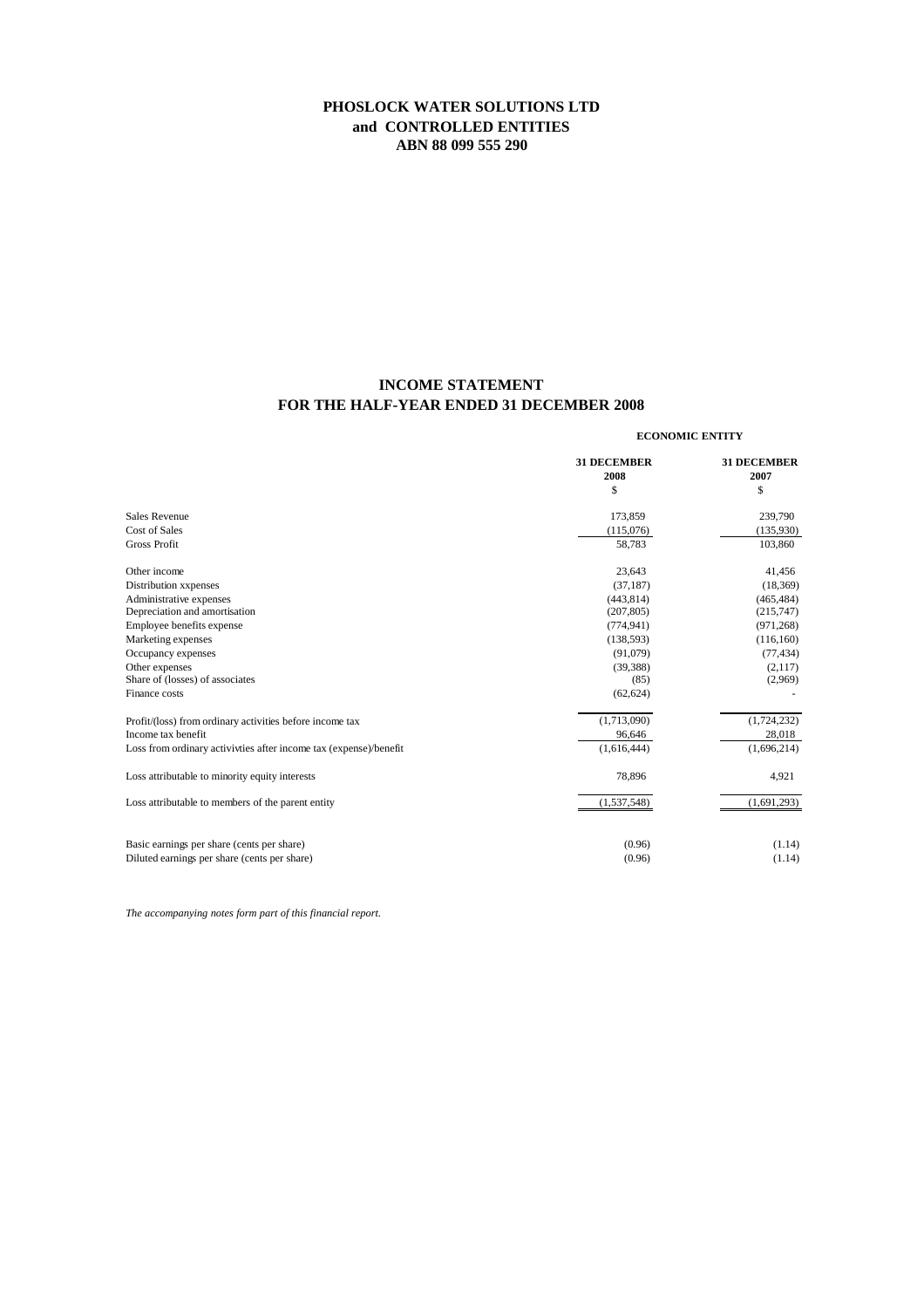# **INCOME STATEMENT FOR THE HALF-YEAR ENDED 31 DECEMBER 2008**

#### **ECONOMIC ENTITY**

|                                                                   | <b>31 DECEMBER</b><br>2008 | <b>31 DECEMBER</b><br>2007 |
|-------------------------------------------------------------------|----------------------------|----------------------------|
|                                                                   | \$                         | \$                         |
| Sales Revenue                                                     | 173,859                    | 239,790                    |
| Cost of Sales                                                     | (115,076)                  | (135,930)                  |
| <b>Gross Profit</b>                                               | 58,783                     | 103,860                    |
| Other income                                                      | 23,643                     | 41,456                     |
| Distribution xxpenses                                             | (37, 187)                  | (18, 369)                  |
| Administrative expenses                                           | (443, 814)                 | (465, 484)                 |
| Depreciation and amortisation                                     | (207, 805)                 | (215,747)                  |
| Employee benefits expense                                         | (774, 941)                 | (971, 268)                 |
| Marketing expenses                                                | (138, 593)                 | (116, 160)                 |
| Occupancy expenses                                                | (91,079)                   | (77, 434)                  |
| Other expenses                                                    | (39, 388)                  | (2,117)                    |
| Share of (losses) of associates                                   | (85)                       | (2,969)                    |
| Finance costs                                                     | (62, 624)                  |                            |
| Profit/(loss) from ordinary activities before income tax          | (1,713,090)                | (1,724,232)                |
| Income tax benefit                                                | 96,646                     | 28,018                     |
| Loss from ordinary activivties after income tax (expense)/benefit | (1,616,444)                | (1,696,214)                |
| Loss attributable to minority equity interests                    | 78,896                     | 4,921                      |
| Loss attributable to members of the parent entity                 | (1, 537, 548)              | (1,691,293)                |
|                                                                   |                            |                            |
| Basic earnings per share (cents per share)                        | (0.96)                     | (1.14)                     |
| Diluted earnings per share (cents per share)                      | (0.96)                     | (1.14)                     |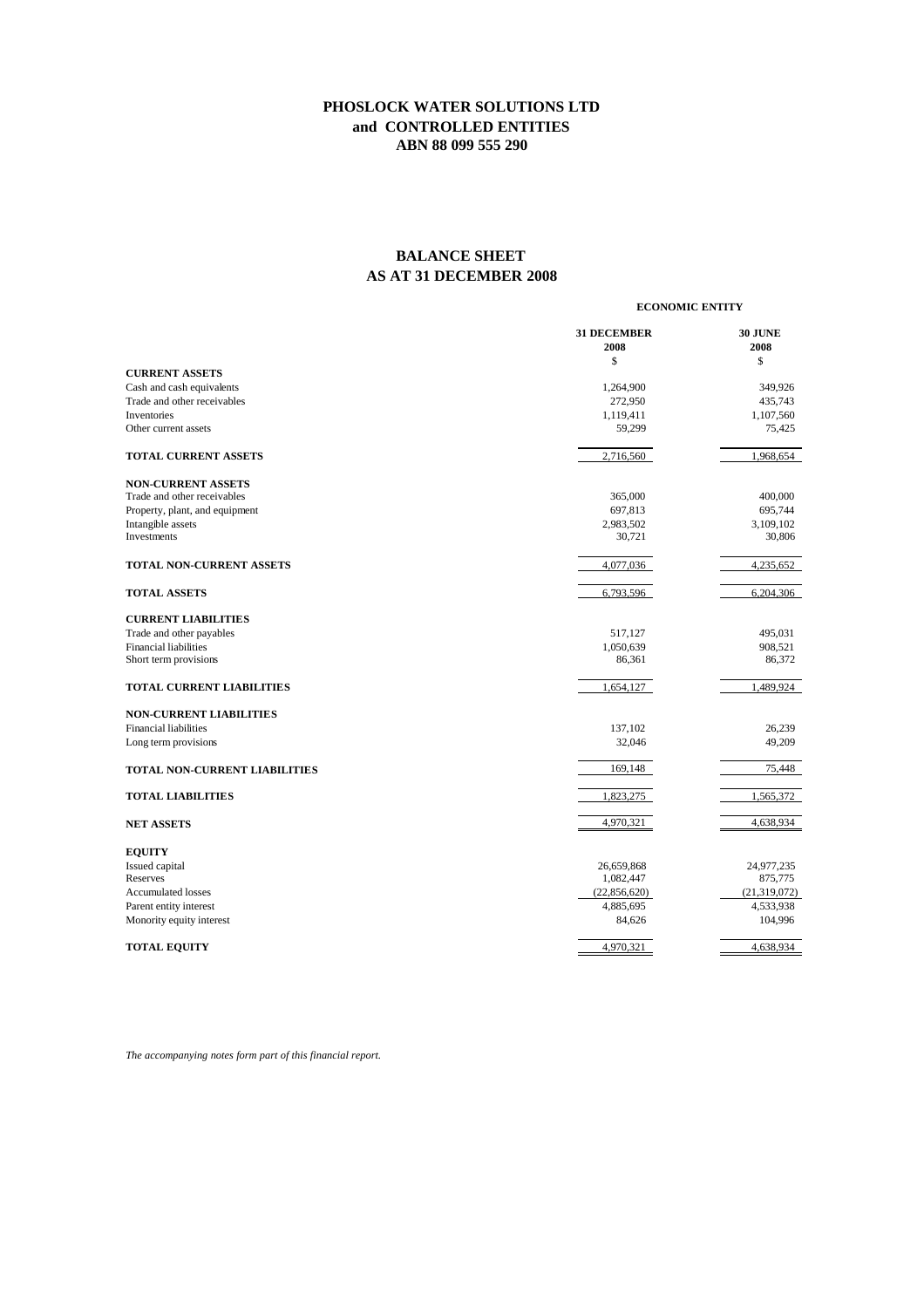# **BALANCE SHEET AS AT 31 DECEMBER 2008**

#### **ECONOMIC ENTITY**

|                                            | <b>31 DECEMBER</b><br>2008 | <b>30 JUNE</b><br>2008 |
|--------------------------------------------|----------------------------|------------------------|
|                                            | \$                         | \$                     |
| <b>CURRENT ASSETS</b>                      |                            |                        |
| Cash and cash equivalents                  | 1,264,900                  | 349,926                |
| Trade and other receivables                | 272,950                    | 435,743                |
| <b>Inventories</b><br>Other current assets | 1,119,411                  | 1,107,560              |
|                                            | 59,299                     | 75,425                 |
| <b>TOTAL CURRENT ASSETS</b>                | 2,716,560                  | 1,968,654              |
| <b>NON-CURRENT ASSETS</b>                  |                            |                        |
| Trade and other receivables                | 365,000                    | 400,000                |
| Property, plant, and equipment             | 697,813                    | 695,744                |
| Intangible assets                          | 2,983,502                  | 3,109,102              |
| Investments                                | 30,721                     | 30,806                 |
| TOTAL NON-CURRENT ASSETS                   | 4,077,036                  | 4,235,652              |
|                                            |                            |                        |
| <b>TOTAL ASSETS</b>                        | 6,793,596                  | 6,204,306              |
| <b>CURRENT LIABILITIES</b>                 |                            |                        |
| Trade and other payables                   | 517,127                    | 495,031                |
| <b>Financial liabilities</b>               | 1,050,639                  | 908,521                |
| Short term provisions                      | 86,361                     | 86,372                 |
| <b>TOTAL CURRENT LIABILITIES</b>           | 1,654,127                  | 1,489,924              |
| <b>NON-CURRENT LIABILITIES</b>             |                            |                        |
| <b>Financial liabilities</b>               | 137,102                    | 26,239                 |
| Long term provisions                       | 32,046                     | 49,209                 |
| TOTAL NON-CURRENT LIABILITIES              | 169,148                    | 75,448                 |
| <b>TOTAL LIABILITIES</b>                   | 1,823,275                  | 1,565,372              |
| <b>NET ASSETS</b>                          | 4,970,321                  | 4,638,934              |
| <b>EQUITY</b>                              |                            |                        |
| Issued capital                             | 26,659,868                 | 24,977,235             |
| Reserves                                   | 1,082,447                  | 875,775                |
| <b>Accumulated losses</b>                  | (22,856,620)               | (21,319,072)           |
| Parent entity interest                     | 4,885,695                  | 4,533,938              |
| Monority equity interest                   | 84,626                     | 104,996                |
| <b>TOTAL EQUITY</b>                        | 4,970,321                  | 4,638,934              |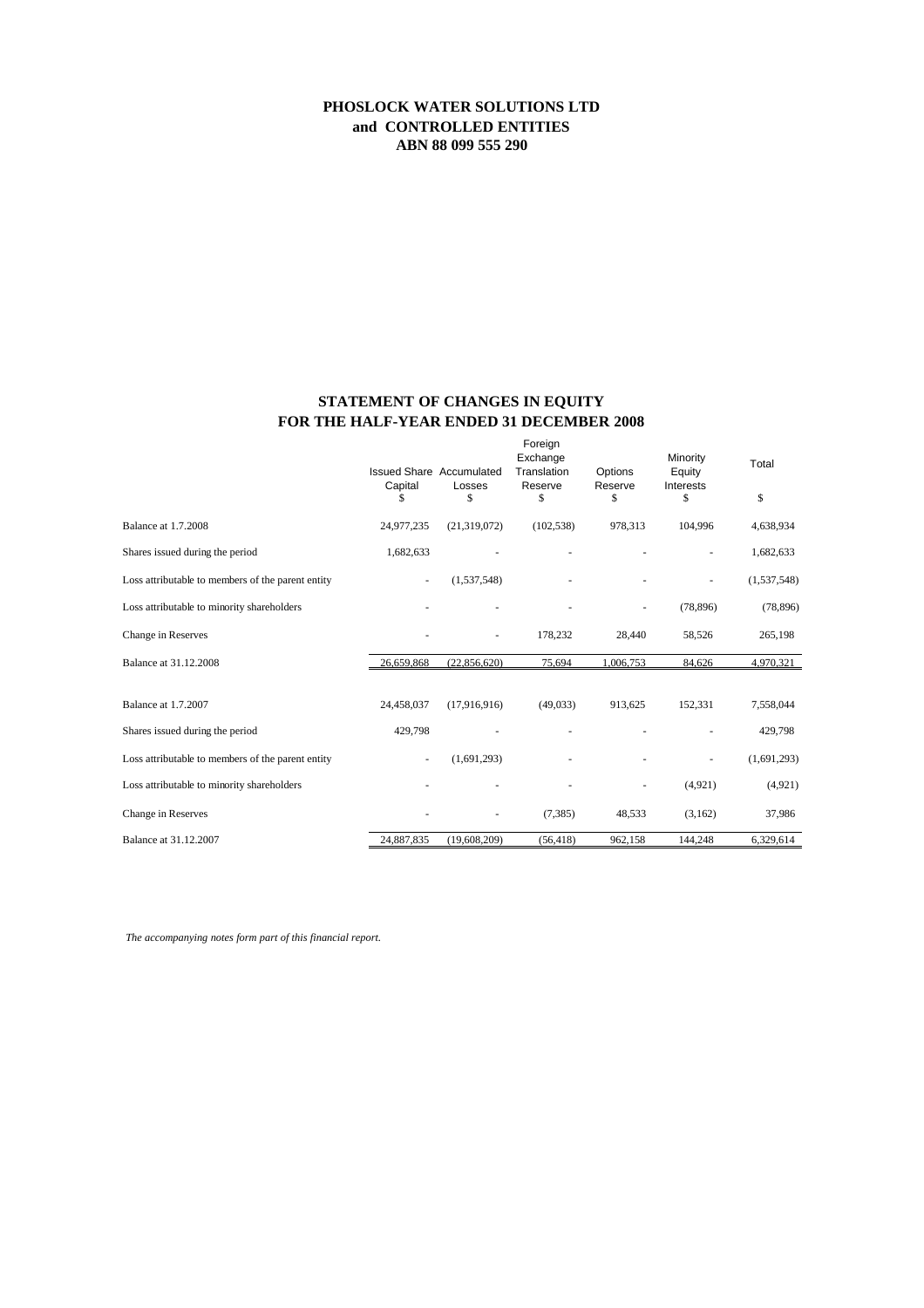# **FOR THE HALF-YEAR ENDED 31 DECEMBER 2008 STATEMENT OF CHANGES IN EQUITY**

|                                                   | Capital<br>\$ | Issued Share Accumulated<br>Losses<br>\$ | Foreign<br>Exchange<br>Translation<br>Reserve<br>\$ | Options<br>Reserve<br>\$ | Minority<br>Equity<br>Interests<br>\$ | Total<br>\$ |
|---------------------------------------------------|---------------|------------------------------------------|-----------------------------------------------------|--------------------------|---------------------------------------|-------------|
| Balance at 1.7.2008                               | 24,977,235    | (21, 319, 072)                           | (102, 538)                                          | 978,313                  | 104,996                               | 4,638,934   |
| Shares issued during the period                   | 1,682,633     |                                          |                                                     |                          |                                       | 1,682,633   |
| Loss attributable to members of the parent entity |               | (1,537,548)                              |                                                     |                          |                                       | (1,537,548) |
| Loss attributable to minority shareholders        |               |                                          |                                                     | $\overline{\phantom{a}}$ | (78, 896)                             | (78, 896)   |
| Change in Reserves                                |               | $\overline{\phantom{a}}$                 | 178,232                                             | 28,440                   | 58,526                                | 265,198     |
| Balance at 31.12.2008                             | 26,659,868    | (22,856,620)                             | 75,694                                              | 1,006,753                | 84,626                                | 4,970,321   |
| <b>Balance at 1.7.2007</b>                        | 24,458,037    | (17,916,916)                             | (49,033)                                            | 913,625                  | 152,331                               | 7,558,044   |
| Shares issued during the period                   | 429,798       |                                          |                                                     |                          |                                       | 429,798     |
| Loss attributable to members of the parent entity |               | (1,691,293)                              |                                                     |                          |                                       | (1,691,293) |
| Loss attributable to minority shareholders        |               |                                          |                                                     | ä,                       | (4,921)                               | (4,921)     |
| Change in Reserves                                |               | ٠                                        | (7, 385)                                            | 48,533                   | (3,162)                               | 37,986      |
| Balance at 31.12.2007                             | 24,887,835    | (19,608,209)                             | (56, 418)                                           | 962,158                  | 144,248                               | 6,329,614   |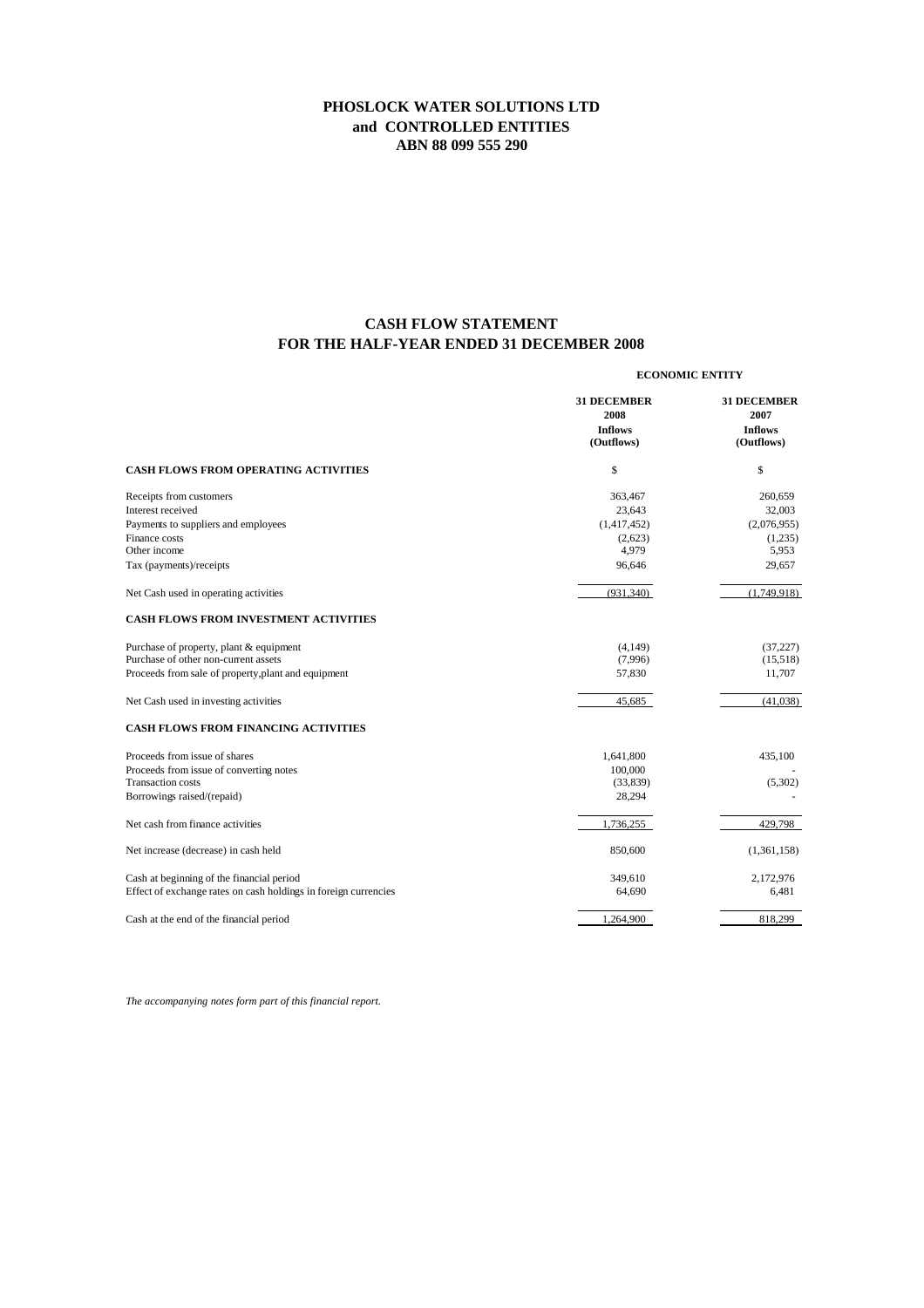# **FOR THE HALF-YEAR ENDED 31 DECEMBER 2008 CASH FLOW STATEMENT**

|                                                                 | <b>ECONOMIC ENTITY</b>                                     |                                                            |  |
|-----------------------------------------------------------------|------------------------------------------------------------|------------------------------------------------------------|--|
|                                                                 | <b>31 DECEMBER</b><br>2008<br><b>Inflows</b><br>(Outflows) | <b>31 DECEMBER</b><br>2007<br><b>Inflows</b><br>(Outflows) |  |
| <b>CASH FLOWS FROM OPERATING ACTIVITIES</b>                     | \$                                                         | \$                                                         |  |
| Receipts from customers                                         | 363,467                                                    | 260,659                                                    |  |
| Interest received                                               | 23,643                                                     | 32,003                                                     |  |
| Payments to suppliers and employees                             | (1,417,452)                                                | (2,076,955)                                                |  |
| Finance costs                                                   | (2,623)                                                    | (1,235)                                                    |  |
| Other income                                                    | 4,979                                                      | 5,953                                                      |  |
| Tax (payments)/receipts                                         | 96,646                                                     | 29,657                                                     |  |
| Net Cash used in operating activities                           | (931, 340)                                                 | (1,749,918)                                                |  |
| <b>CASH FLOWS FROM INVESTMENT ACTIVITIES</b>                    |                                                            |                                                            |  |
| Purchase of property, plant & equipment                         | (4,149)                                                    | (37, 227)                                                  |  |
| Purchase of other non-current assets                            | (7,996)                                                    | (15,518)                                                   |  |
| Proceeds from sale of property, plant and equipment             | 57,830                                                     | 11,707                                                     |  |
| Net Cash used in investing activities                           | 45,685                                                     | (41,038)                                                   |  |
| CASH FLOWS FROM FINANCING ACTIVITIES                            |                                                            |                                                            |  |
| Proceeds from issue of shares                                   | 1,641,800                                                  | 435,100                                                    |  |
| Proceeds from issue of converting notes                         | 100,000                                                    |                                                            |  |
| <b>Transaction costs</b>                                        | (33,839)                                                   | (5,302)                                                    |  |
| Borrowings raised/(repaid)                                      | 28,294                                                     |                                                            |  |
| Net cash from finance activities                                | 1,736,255                                                  | 429.798                                                    |  |
| Net increase (decrease) in cash held                            | 850,600                                                    | (1,361,158)                                                |  |
| Cash at beginning of the financial period                       | 349,610                                                    | 2,172,976                                                  |  |
| Effect of exchange rates on cash holdings in foreign currencies | 64,690                                                     | 6,481                                                      |  |
| Cash at the end of the financial period                         | 1,264,900                                                  | 818,299                                                    |  |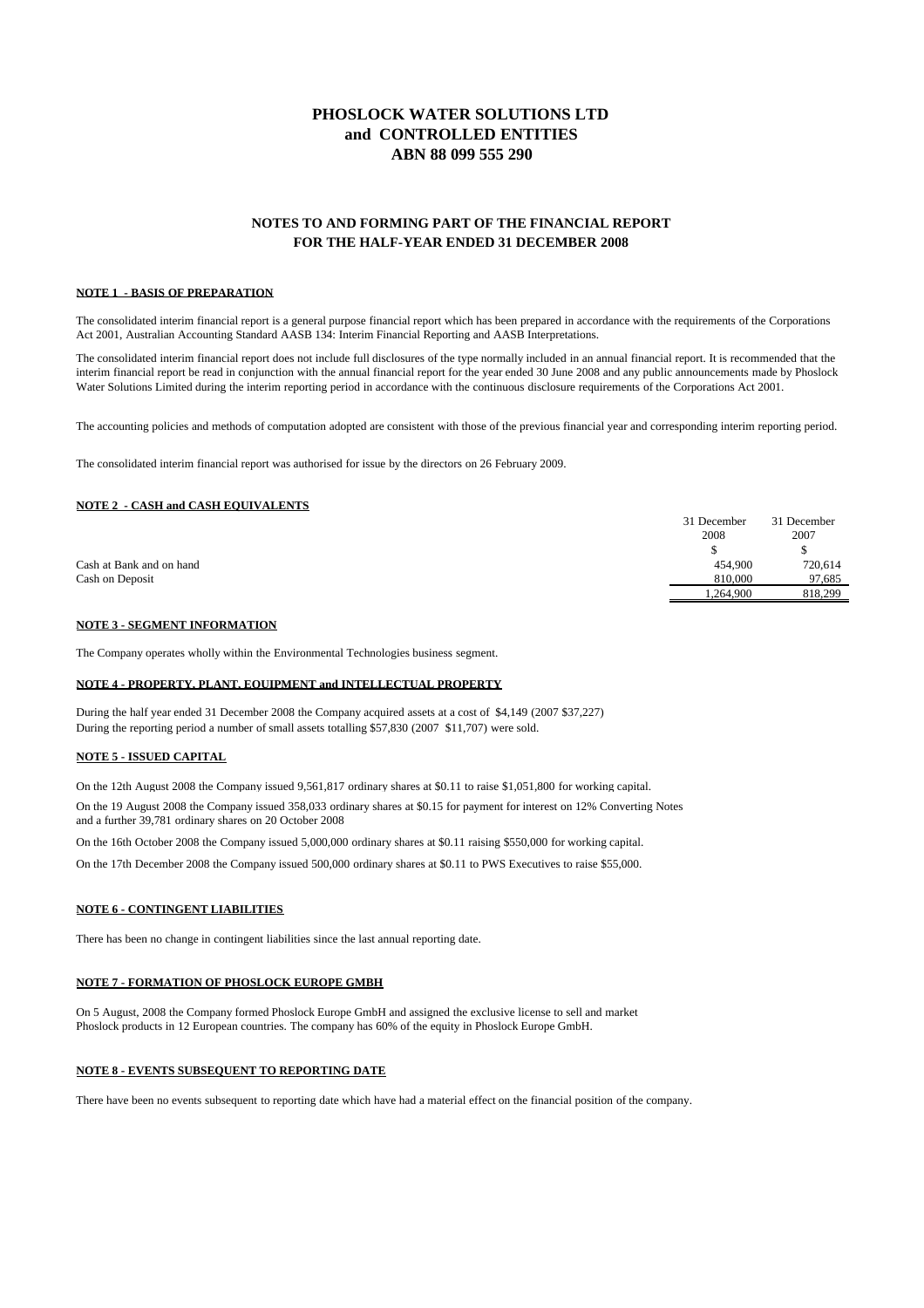### **NOTES TO AND FORMING PART OF THE FINANCIAL REPORT FOR THE HALF-YEAR ENDED 31 DECEMBER 2008**

#### **NOTE 1 - BASIS OF PREPARATION**

The consolidated interim financial report is a general purpose financial report which has been prepared in accordance with the requirements of the Corporations Act 2001, Australian Accounting Standard AASB 134: Interim Financial Reporting and AASB Interpretations.

The consolidated interim financial report does not include full disclosures of the type normally included in an annual financial report. It is recommended that the interim financial report be read in conjunction with the annual financial report for the year ended 30 June 2008 and any public announcements made by Phoslock Water Solutions Limited during the interim reporting period in accordance with the continuous disclosure requirements of the Corporations Act 2001.

The accounting policies and methods of computation adopted are consistent with those of the previous financial year and corresponding interim reporting period.

The consolidated interim financial report was authorised for issue by the directors on 26 February 2009.

#### **NOTE 2 - CASH and CASH EQUIVALENTS**

|                          | 31 December | 31 December |
|--------------------------|-------------|-------------|
|                          | 2008        | 2007        |
|                          |             |             |
| Cash at Bank and on hand | 454,900     | 720,614     |
| Cash on Deposit          | 810,000     | 97.685      |
|                          | .264.900    | 818,299     |

#### **NOTE 3 - SEGMENT INFORMATION**

The Company operates wholly within the Environmental Technologies business segment.

#### **NOTE 4 - PROPERTY, PLANT, EQUIPMENT and INTELLECTUAL PROPERTY**

During the half year ended 31 December 2008 the Company acquired assets at a cost of \$4,149 (2007 \$37,227) During the reporting period a number of small assets totalling \$57,830 (2007 \$11,707) were sold.

#### **NOTE 5 - ISSUED CAPITAL**

On the 12th August 2008 the Company issued 9,561,817 ordinary shares at \$0.11 to raise \$1,051,800 for working capital. On the 19 August 2008 the Company issued 358,033 ordinary shares at \$0.15 for payment for interest on 12% Converting Notes and a further 39,781 ordinary shares on 20 October 2008

On the 16th October 2008 the Company issued 5,000,000 ordinary shares at \$0.11 raising \$550,000 for working capital.

On the 17th December 2008 the Company issued 500,000 ordinary shares at \$0.11 to PWS Executives to raise \$55,000.

#### **NOTE 6 - CONTINGENT LIABILITIES**

There has been no change in contingent liabilities since the last annual reporting date.

#### **NOTE 7 - FORMATION OF PHOSLOCK EUROPE GMBH**

On 5 August, 2008 the Company formed Phoslock Europe GmbH and assigned the exclusive license to sell and market Phoslock products in 12 European countries. The company has 60% of the equity in Phoslock Europe GmbH.

#### **NOTE 8 - EVENTS SUBSEQUENT TO REPORTING DATE**

There have been no events subsequent to reporting date which have had a material effect on the financial position of the company.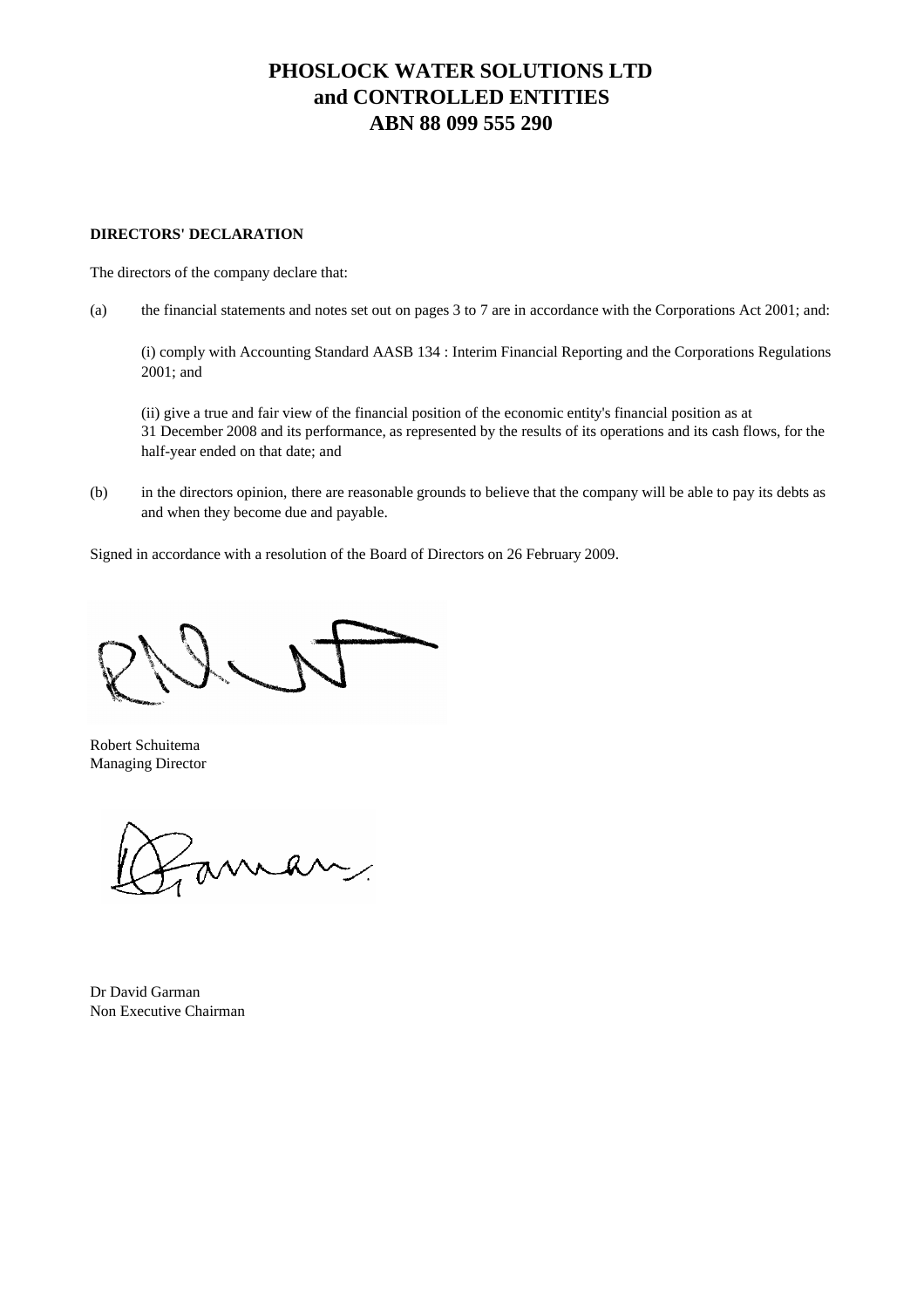## **DIRECTORS' DECLARATION**

The directors of the company declare that:

(a) the financial statements and notes set out on pages 3 to 7 are in accordance with the Corporations Act 2001; and:

(i) comply with Accounting Standard AASB 134 : Interim Financial Reporting and the Corporations Regulations 2001; and

(ii) give a true and fair view of the financial position of the economic entity's financial position as at 31 December 2008 and its performance, as represented by the results of its operations and its cash flows, for the half-year ended on that date; and

(b) in the directors opinion, there are reasonable grounds to believe that the company will be able to pay its debts as and when they become due and payable.

Signed in accordance with a resolution of the Board of Directors on 26 February 2009.

Robert Schuitema Managing Director

man

Dr David Garman Non Executive Chairman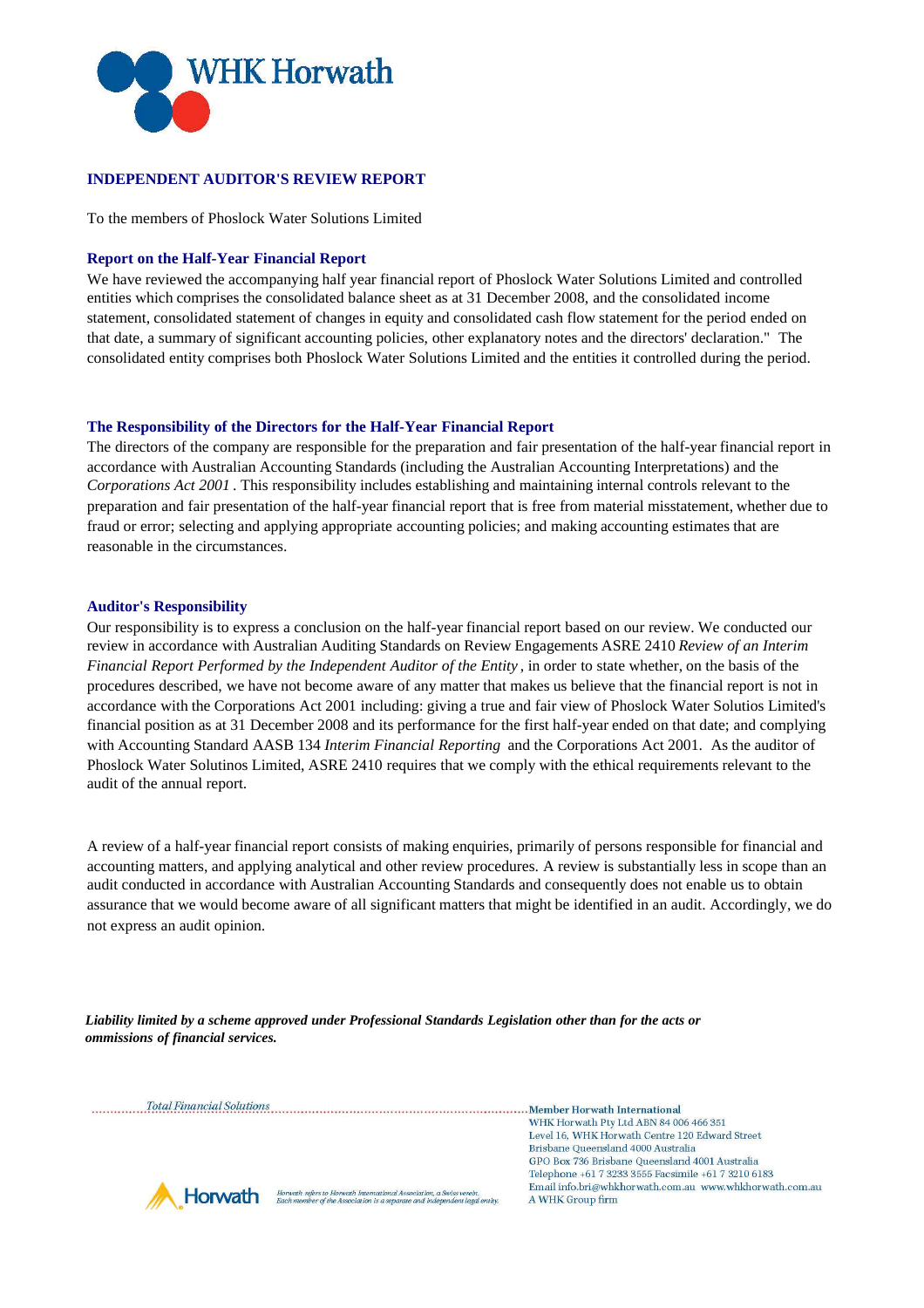

# **INDEPENDENT AUDITOR'S REVIEW REPORT**

To the members of Phoslock Water Solutions Limited

### **Report on the Half-Year Financial Report**

We have reviewed the accompanying half year financial report of Phoslock Water Solutions Limited and controlled entities which comprises the consolidated balance sheet as at 31 December 2008, and the consolidated income statement, consolidated statement of changes in equity and consolidated cash flow statement for the period ended on that date, a summary of significant accounting policies, other explanatory notes and the directors' declaration." The consolidated entity comprises both Phoslock Water Solutions Limited and the entities it controlled during the period.

### **The Responsibility of the Directors for the Half-Year Financial Report**

The directors of the company are responsible for the preparation and fair presentation of the half-year financial report in accordance with Australian Accounting Standards (including the Australian Accounting Interpretations) and the *Corporations Act 2001* . This responsibility includes establishing and maintaining internal controls relevant to the preparation and fair presentation of the half-year financial report that is free from material misstatement, whether due to fraud or error; selecting and applying appropriate accounting policies; and making accounting estimates that are reasonable in the circumstances.

### **Auditor's Responsibility**

Our responsibility is to express a conclusion on the half-year financial report based on our review. We conducted our review in accordance with Australian Auditing Standards on Review Engagements ASRE 2410 *Review of an Interim Financial Report Performed by the Independent Auditor of the Entity* , in order to state whether, on the basis of the procedures described, we have not become aware of any matter that makes us believe that the financial report is not in accordance with the Corporations Act 2001 including: giving a true and fair view of Phoslock Water Solutios Limited's financial position as at 31 December 2008 and its performance for the first half-year ended on that date; and complying with Accounting Standard AASB 134 *Interim Financial Reporting* and the Corporations Act 2001. As the auditor of Phoslock Water Solutinos Limited, ASRE 2410 requires that we comply with the ethical requirements relevant to the audit of the annual report.

A review of a half-year financial report consists of making enquiries, primarily of persons responsible for financial and accounting matters, and applying analytical and other review procedures. A review is substantially less in scope than an audit conducted in accordance with Australian Accounting Standards and consequently does not enable us to obtain assurance that we would become aware of all significant matters that might be identified in an audit. Accordingly, we do not express an audit opinion.

*Liability limited by a scheme approved under Professional Standards Legislation other than for the acts or ommissions of financial services.*

Total Financial Solutions [100] Total Financial Solutions [100] Total Financial Solutions [100] Total Financial Solutions [100] Total Financial Solutions [100] Total Financial Solutions [100] Total Financial Solutions [100

WHK Horwath Pty Ltd ABN 84 006 466 351 Level 16, WHK Horwath Centre 120 Edward Street Brisbane Queensland 4000 Australia GPO Box 736 Brisbane Queensland 4001 Australia Telephone +61 7 3233 3555 Facsimile +61 7 3210 6183 Email info.bri@whkhorwath.com.au www.whkhorwath.com.au A WHK Group firm



Horwah refers to Horwah International Association, a Swiss verein<br>Each member of the Association is a separate and independent lega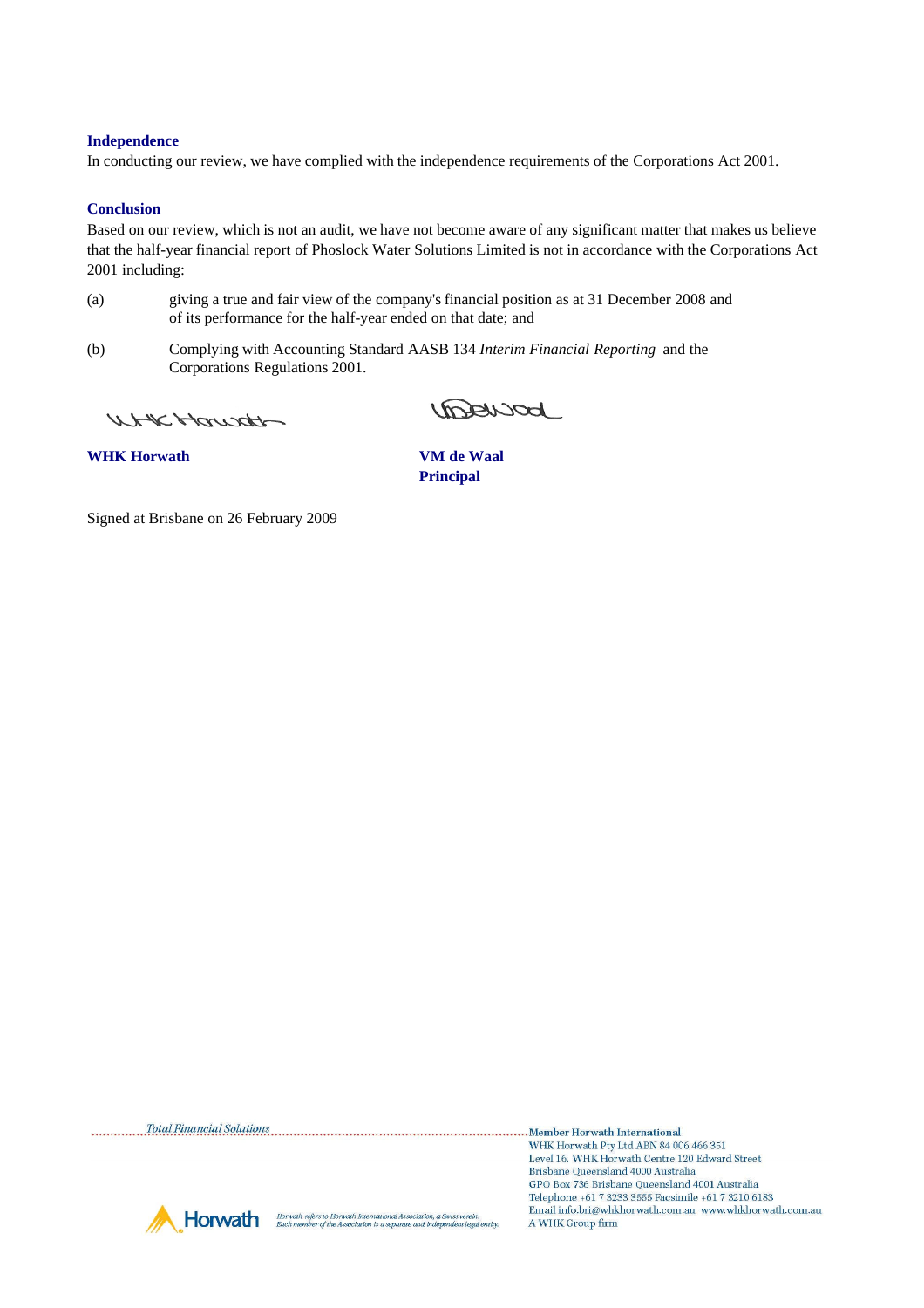## **Independence**

In conducting our review, we have complied with the independence requirements of the Corporations Act 2001.

### **Conclusion**

Based on our review, which is not an audit, we have not become aware of any significant matter that makes us believe that the half-year financial report of Phoslock Water Solutions Limited is not in accordance with the Corporations Act 2001 including:

- (a) giving a true and fair view of the company's financial position as at 31 December 2008 and of its performance for the half-year ended on that date; and
- (b) Complying with Accounting Standard AASB 134 *Interim Financial Reporting* and the Corporations Regulations 2001.

WHICHawath

Linderscod

**WHK Horwath VM de Waal**

**Principal**

Signed at Brisbane on 26 February 2009